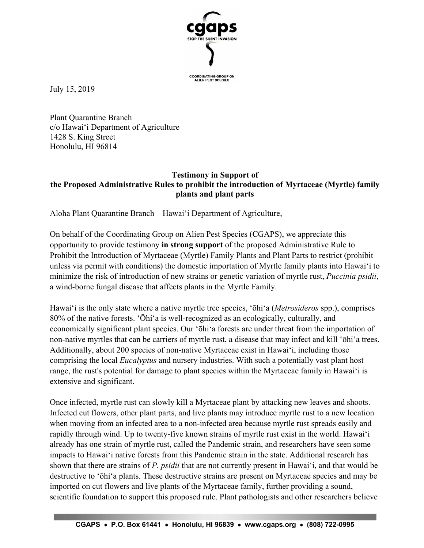

July 15, 2019

Plant Quarantine Branch c/o Hawai'i Department of Agriculture 1428 S. King Street Honolulu, HI 96814

## **Testimony in Support of the Proposed Administrative Rules to prohibit the introduction of Myrtaceae (Myrtle) family plants and plant parts**

Aloha Plant Quarantine Branch – Hawai'i Department of Agriculture,

On behalf of the Coordinating Group on Alien Pest Species (CGAPS), we appreciate this opportunity to provide testimony **in strong support** of the proposed Administrative Rule to Prohibit the Introduction of Myrtaceae (Myrtle) Family Plants and Plant Parts to restrict (prohibit unless via permit with conditions) the domestic importation of Myrtle family plants into Hawai'i to minimize the risk of introduction of new strains or genetic variation of myrtle rust, *Puccinia psidii*, a wind-borne fungal disease that affects plants in the Myrtle Family.

Hawai'i is the only state where a native myrtle tree species, 'ōhi'a (*Metrosideros* spp.), comprises 80% of the native forests. 'Ōhi'a is well-recognized as an ecologically, culturally, and economically significant plant species. Our 'ōhi'a forests are under threat from the importation of non-native myrtles that can be carriers of myrtle rust, a disease that may infect and kill 'ōhi'a trees. Additionally, about 200 species of non-native Myrtaceae exist in Hawai'i, including those comprising the local *Eucalyptus* and nursery industries. With such a potentially vast plant host range, the rust's potential for damage to plant species within the Myrtaceae family in Hawai'i is extensive and significant.

Once infected, myrtle rust can slowly kill a Myrtaceae plant by attacking new leaves and shoots. Infected cut flowers, other plant parts, and live plants may introduce myrtle rust to a new location when moving from an infected area to a non-infected area because myrtle rust spreads easily and rapidly through wind. Up to twenty-five known strains of myrtle rust exist in the world. Hawai'i already has one strain of myrtle rust, called the Pandemic strain, and researchers have seen some impacts to Hawai'i native forests from this Pandemic strain in the state. Additional research has shown that there are strains of *P. psidii* that are not currently present in Hawai'i, and that would be destructive to 'ōhi'a plants. These destructive strains are present on Myrtaceae species and may be imported on cut flowers and live plants of the Myrtaceae family, further providing a sound, scientific foundation to support this proposed rule. Plant pathologists and other researchers believe